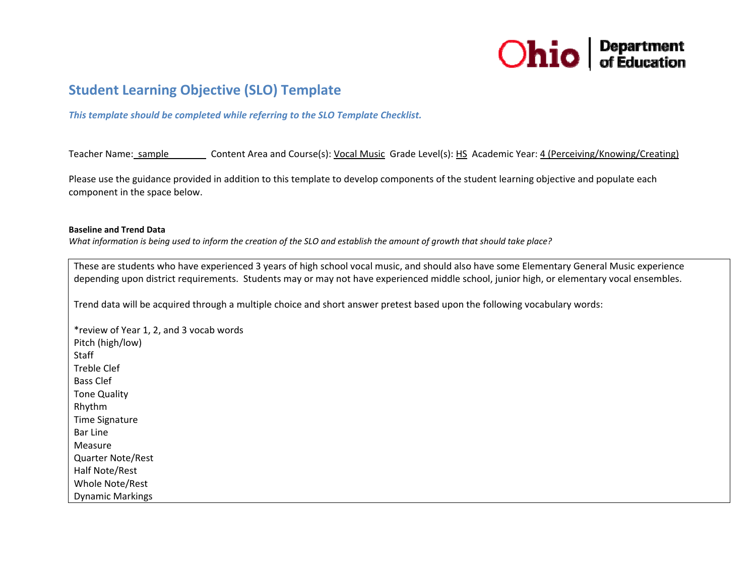

# **Student Learning Objective (SLO) Template**

*This template should be completed while referring to the SLO Template Checklist.*

Teacher Name: sample Content Area and Course(s): Vocal Music Grade Level(s): HS Academic Year: 4 (Perceiving/Knowing/Creating)

Please use the guidance provided in addition to this template to develop components of the student learning objective and populate each component in the space below.

#### **Baseline and Trend Data**

What information is being used to inform the creation of the SLO and establish the amount of growth that should take place?

These are students who have experienced 3 years of high school vocal music, and should also have some Elementary General Music experience depending upon district requirements. Students may or may not have experienced middle school, junior high, or elementary vocal ensembles.

Trend data will be acquired through <sup>a</sup> multiple choice and short answer pretest based upon the following vocabulary words:

\*review of Year 1, 2, and 3 vocab words Pitch (high/low) **Staff** Treble Clef Bass Clef Tone Quality Rhythm Time Signature Bar LineMeasureQuarter Note/Rest Half Note/Rest Whole Note/Rest Dynamic Markings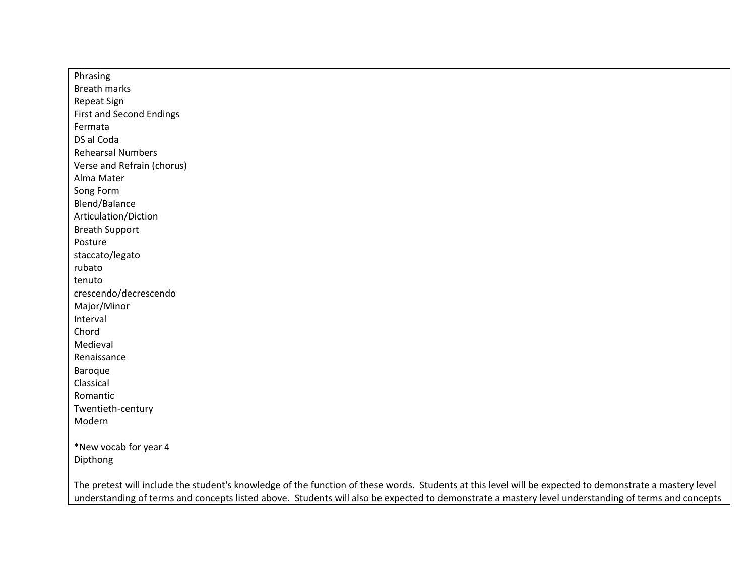Phrasing Breath marks Repeat Sign First and Second Endings FermataDS al CodaRehearsal NumbersVerse and Refrain (chorus) Alma Mater Song Form Blend/Balance Articulation/Diction Breath Support Posturestaccato/legato rubatotenutocrescendo/decrescendo Major/Minor Interval ChordMedieval RenaissanceBaroque ClassicalRomanticTwentieth‐century Modern\*New vocab for year 4 Dipthong The pretest will include the student's knowledge of the function of these words. Students at this level will be expected to demonstrate <sup>a</sup> mastery level understanding of terms and concepts listed above. Students will also be expected to demonstrate <sup>a</sup> mastery level understanding of terms and concepts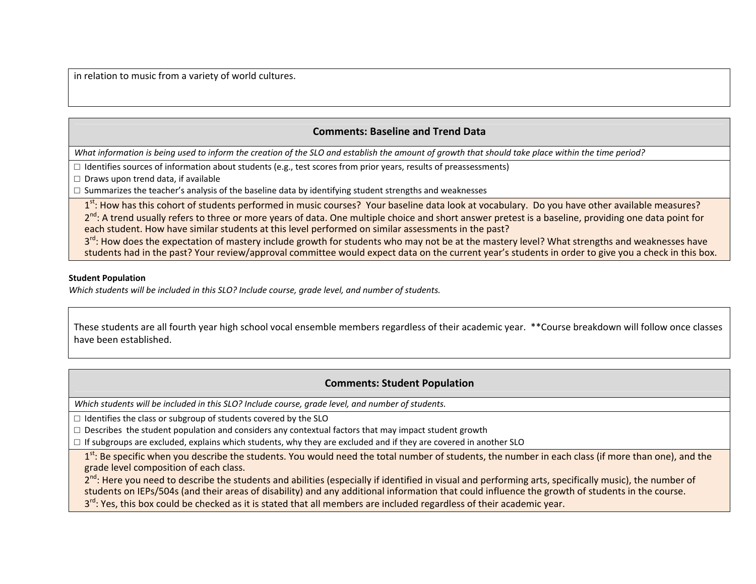in relation to music from <sup>a</sup> variety of world cultures.

## **Comments: Baseline and Trend Data**

What information is being used to inform the creation of the SLO and establish the amount of growth that should take place within the time period?

 $\Box$  Identifies sources of information about students (e.g., test scores from prior years, results of preassessments)

□ Draws upon trend data, if available

 $\Box$  Summarizes the teacher's analysis of the baseline data by identifying student strengths and weaknesses

1<sup>st</sup>: How has this cohort of students performed in music courses? Your baseline data look at vocabulary. Do you have other available measures? 2<sup>nd</sup>: A trend usually refers to three or more years of data. One multiple choice and short answer pretest is a baseline, providing one data point for each student. How have similar students at this level performed on similar assessments in the past?

3<sup>rd</sup>: How does the expectation of mastery include growth for students who may not be at the mastery level? What strengths and weaknesses have students had in the past? Your review/approval committee would expect data on the current year's students in order to give you <sup>a</sup> check in this box.

#### **Student Population**

*Which students will be included in this SLO? Include course, grade level, and number of students.*

These students are all fourth year high school vocal ensemble members regardless of their academic year. \*\*Course breakdown will follow once classes have been established.

## **Comments: Student Population**

*Which students will be included in this SLO? Include course, grade level, and number of students.*

 $\Box$  Identifies the class or subgroup of students covered by the SLO

 $\Box$  Describes the student population and considers any contextual factors that may impact student growth

 $\Box$  If subgroups are excluded, explains which students, why they are excluded and if they are covered in another SLO

1<sup>st</sup>: Be specific when you describe the students. You would need the total number of students, the number in each class (if more than one), and the grade level composition of each class.

2<sup>nd</sup>: Here you need to describe the students and abilities (especially if identified in visual and performing arts, specifically music), the number of students on IEPs/504s (and their areas of disability) and any additional information that could influence the growth of students in the course. 3<sup>rd</sup>: Yes, this box could be checked as it is stated that all members are included regardless of their academic year.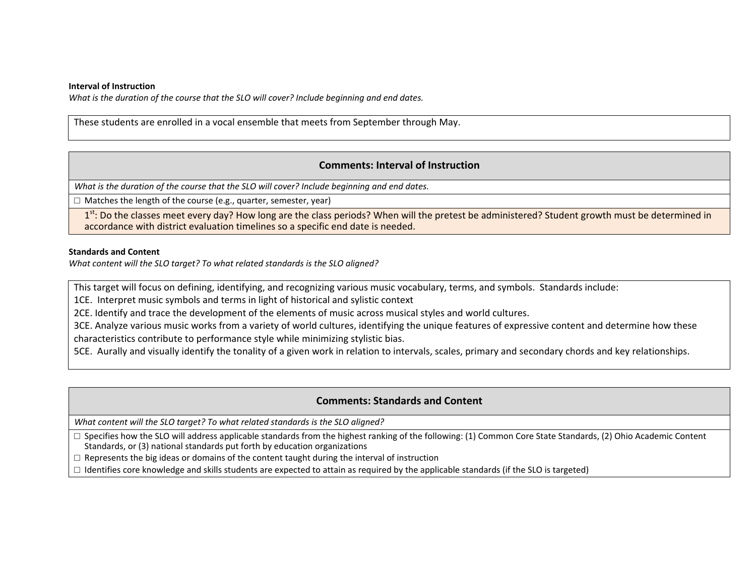#### **Interval of Instruction**

*What is the duration of the course that the SLO will cover? Include beginning and end dates.*

These students are enrolled in <sup>a</sup> vocal ensemble that meets from September through May.

## **Comments: Interval of Instruction**

*What is the duration of the course that the SLO will cover? Include beginning and end dates.*

□ Matches the length of the course (e.g., quarter, semester, year)

1<sup>st</sup>: Do the classes meet every day? How long are the class periods? When will the pretest be administered? Student growth must be determined in accordance with district evaluation timelines so <sup>a</sup> specific end date is needed.

#### **Standards and Content**

*What content will the SLO target? To what related standards is the SLO aligned?*

This target will focus on defining, identifying, and recognizing various music vocabulary, terms, and symbols. Standards include:

1CE. Interpret music symbols and terms in light of historical and sylistic context

2CE. Identify and trace the development of the elements of music across musical styles and world cultures.

3CE. Analyze various music works from <sup>a</sup> variety of world cultures, identifying the unique features of expressive content and determine how these

characteristics contribute to performance style while minimizing stylistic bias.

5CE. Aurally and visually identify the tonality of <sup>a</sup> given work in relation to intervals, scales, primary and secondary chords and key relationships.

## **Comments: Standards and Content**

*What content will the SLO target? To what related standards is the SLO aligned?*

□ Specifies how the SLO will address applicable standards from the highest ranking of the following: (1) Common Core State Standards, (2) Ohio Academic Content Standards, or (3) national standards put forth by education organizations

 $\Box$  Represents the big ideas or domains of the content taught during the interval of instruction

 $\Box$  Identifies core knowledge and skills students are expected to attain as required by the applicable standards (if the SLO is targeted)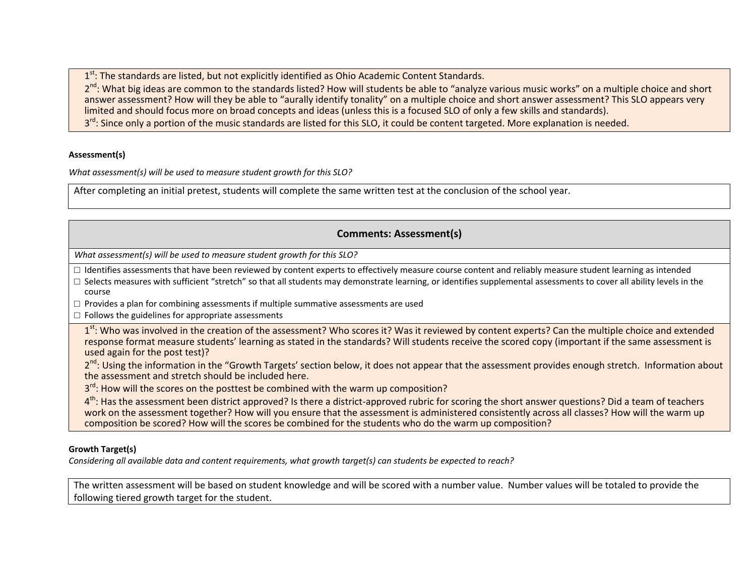$1<sup>st</sup>$ : The standards are listed, but not explicitly identified as Ohio Academic Content Standards.

2<sup>nd</sup>: What big ideas are common to the standards listed? How will students be able to "analyze various music works" on a multiple choice and short answer assessment? How will they be able to "aurally identify tonality" on <sup>a</sup> multiple choice and short answer assessment? This SLO appears very limited and should focus more on broad concepts and ideas (unless this is <sup>a</sup> focused SLO of only <sup>a</sup> few skills and standards). 3<sup>rd</sup>: Since only a portion of the music standards are listed for this SLO, it could be content targeted. More explanation is needed.

#### **Assessment(s)**

*What assessment(s) will be used to measure student growth for this SLO?*

After completing an initial pretest, students will complete the same written test at the conclusion of the school year.

# **Comments: Assessment(s)**

*What assessment(s) will be used to measure student growth for this SLO?*

 $\Box$  Identifies assessments that have been reviewed by content experts to effectively measure course content and reliably measure student learning as intended

- □ Selects measures with sufficient "stretch" so that all students may demonstrate learning, or identifies supplemental assessments to cover all ability levels in the course
- $\Box$  Provides a plan for combining assessments if multiple summative assessments are used
- $\square$  Follows the guidelines for appropriate assessments

1<sup>st</sup>: Who was involved in the creation of the assessment? Who scores it? Was it reviewed by content experts? Can the multiple choice and extended response format measure students' learning as stated in the standards? Will students receive the scored copy (important if the same assessment is used again for the post test)?

2<sup>nd</sup>: Using the information in the "Growth Targets' section below, it does not appear that the assessment provides enough stretch. Information about the assessment and stretch should be included here.

3<sup>rd</sup>: How will the scores on the posttest be combined with the warm up composition?

4<sup>th</sup>: Has the assessment been district approved? Is there a district-approved rubric for scoring the short answer questions? Did a team of teachers work on the assessment together? How will you ensure that the assessment is administered consistently across all classes? How will the warm up composition be scored? How will the scores be combined for the students who do the warm up composition?

## **Growth Target(s)**

Considering all available data and content requirements, what growth target(s) can students be expected to reach?

The written assessment will be based on student knowledge and will be scored with <sup>a</sup> number value. Number values will be totaled to provide the following tiered growth target for the student.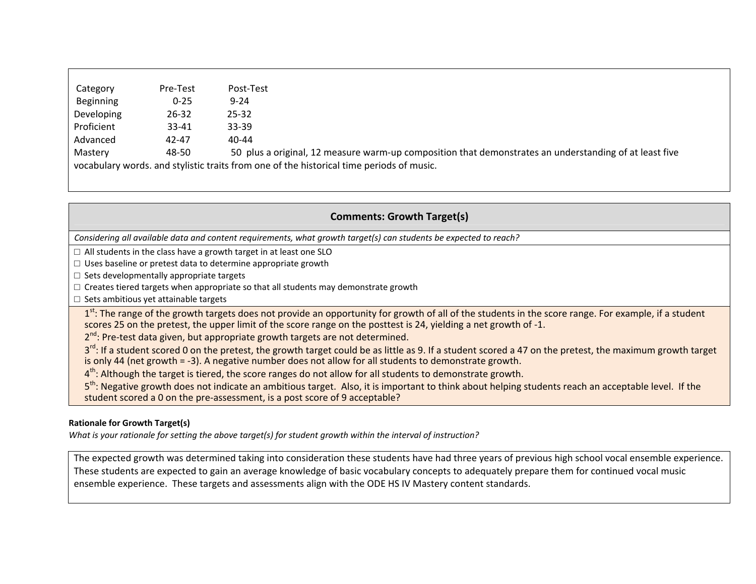| Pre-Test                                                                                 | Post-Test                                                                                              |
|------------------------------------------------------------------------------------------|--------------------------------------------------------------------------------------------------------|
| $0 - 25$                                                                                 | $9 - 24$                                                                                               |
| $26 - 32$                                                                                | $25 - 32$                                                                                              |
| $33 - 41$                                                                                | $33 - 39$                                                                                              |
| 42-47                                                                                    | 40-44                                                                                                  |
| 48-50                                                                                    | 50 plus a original, 12 measure warm-up composition that demonstrates an understanding of at least five |
| vocabulary words, and stylistic traits from one of the historical time periods of music. |                                                                                                        |
|                                                                                          |                                                                                                        |

# **Comments: Growth Target(s)**

Considering all available data and content requirements, what growth target(s) can students be expected to reach?

 $\Box$  All students in the class have a growth target in at least one SLO

 $\Box$  Uses baseline or pretest data to determine appropriate growth

□ Sets developmentally appropriate targets

 $\Box$  Creates tiered targets when appropriate so that all students may demonstrate growth

□ Sets ambitious yet attainable targets

1<sup>st</sup>: The range of the growth targets does not provide an opportunity for growth of all of the students in the score range. For example, if a student scores 25 on the pretest, the upper limit of the score range on the posttest is 24, yielding a net growth of -1.

2<sup>nd</sup>: Pre-test data given, but appropriate growth targets are not determined.

3<sup>rd</sup>: If a student scored 0 on the pretest, the growth target could be as little as 9. If a student scored a 47 on the pretest, the maximum growth target is only 44 (net growth <sup>=</sup> ‐3). A negative number does not allow for all students to demonstrate growth.

 $4^{\text{th}}$ : Although the target is tiered, the score ranges do not allow for all students to demonstrate growth.

5<sup>th</sup>: Negative growth does not indicate an ambitious target. Also, it is important to think about helping students reach an acceptable level. If the student scored <sup>a</sup> 0 on the pre‐assessment, is <sup>a</sup> post score of 9 acceptable?

## **Rationale for Growth Target(s)**

What is your rationale for setting the above target(s) for student growth within the interval of instruction?

The expected growth was determined taking into consideration these students have had three years of previous high school vocal ensemble experience. These students are expected to gain an average knowledge of basic vocabulary concepts to adequately prepare them for continued vocal music ensemble experience. These targets and assessments align with the ODE HS IV Mastery content standards.